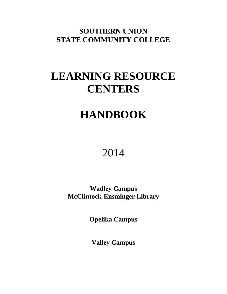**SOUTHERN UNION STATE COMMUNITY COLLEGE**

# **LEARNING RESOURCE CENTERS**

# **HANDBOOK**

# 2014

**Wadley Campus McClintock-Ensminger Library**

**Opelika Campus**

**Valley Campus**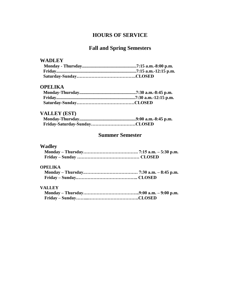# **HOURS OF SERVICE**

# **Fall and Spring Semesters**

### **WADLEY**

## **OPELIKA**

# **VALLEY (EST)**

# **Summer Semester**

# **Wadley**

#### **OPELIKA**

### **VALLEY**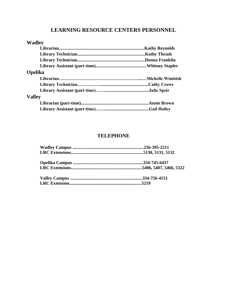# **LEARNING RESOURCE CENTERS PERSONNEL**

| <b>Wadley</b>  |  |
|----------------|--|
|                |  |
|                |  |
|                |  |
|                |  |
| <b>Opelika</b> |  |
|                |  |
|                |  |
|                |  |
| <b>Valley</b>  |  |
|                |  |
|                |  |

# **TELEPHONE**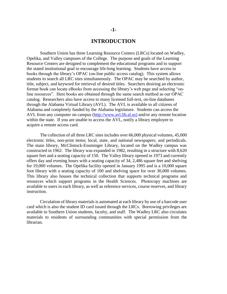#### **INTRODUCTION**

Southern Union has three Learning Resource Centers (LRCs) located on Wadley, Opelika, and Valley campuses of the College. The purpose and goals of the Learning Resource Centers are designed to complement the educational programs and to support the stated institutional goal to encourage life-long learning. Students have access to books through the library's OPAC (on-line public access catalog). This system allows students to search all LRC sites simultaneously. The OPAC may be searched by author, title, subject, and keyword for retrieval of desired titles. Searchers desiring an electronic format book can locate eBooks from accessing the library's web page and selecting "online resources". Here books are obtained through the same search method as our OPAC catalog. Researchers also have access to many licensed full-text, on-line databases through the Alabama Virtual Library (AVL). The AVL is available to all citizens of Alabama and completely funded by the Alabama legislature. Students can access the AVL from any computer on campus (http://www.avl.lib.al.us) and/or any remote location within the state. If you are unable to access the AVL, notify a library employee to acquire a remote access card.

The collection of all three LRC sites includes over 66,000 physical volumes, 45,000 electronic titles, non-print items; local, state, and national newspapers; and periodicals. The main library, McClintock-Ensminger Library, located on the Wadley campus was constructed in 1962. The library was expanded in 1982, resulting in a structure with 8,620 square feet and a seating capacity of 150. The Valley library opened in 1973 and currently offers day and evening hours with a seating capacity of 34, 2,486 square feet and shelving for 19,000 volumes. The Opelika facility opened in January 1995 and is a 10,000 square foot library with a seating capacity of 100 and shelving space for over 30,000 volumes. This library also houses the technical collection that supports technical programs and resources which support programs in the Health Sciences. Photocopy machines are available to users in each library, as well as reference services, course reserves, and library instruction.

Circulation of library materials is automated at each library by use of a barcode user card which is also the student ID card issued through the LRCs. Borrowing privileges are available to Southern Union students, faculty, and staff. The Wadley LRC also circulates materials to residents of surrounding communities with special permission from the librarian.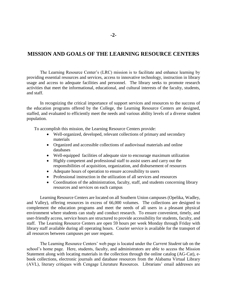## **MISSION AND GOALS OF THE LEARNING RESOURCE CENTERS**

The Learning Resource Center's (LRC) mission is to facilitate and enhance learning by providing essential resources and services, access to innovative technology, instruction in library usage and access to adequate facilities and personnel. The library seeks to promote research activities that meet the informational, educational, and cultural interests of the faculty, students, and staff.

In recognizing the critical importance of support services and resources to the success of the education programs offered by the College, the Learning Resource Centers are designed, staffed, and evaluated to efficiently meet the needs and various ability levels of a diverse student population.

To accomplish this mission, the Learning Resource Centers provide:

- Well-organized, developed, relevant collections of primary and secondary materials
- Organized and accessible collections of audiovisual materials and online databases
- Well-equipped facilities of adequate size to encourage maximum utilization
- Highly competent and professional staff to assist users and carry out the responsibilities of acquisition, organization, and disbursement of resources
- Adequate hours of operation to ensure accessibility to users
- Professional instruction in the utilization of all services and resources
- Coordination of the administration, faculty, staff, and students concerning library resources and services on each campus

Learning Resource Centers are located on all Southern Union campuses (Opelika, Wadley, and Valley), offering resources in excess of 66,000 volumes. The collections are designed to complement the education programs and meet the needs of all users in a pleasant physical environment where students can study and conduct research. To ensure convenient, timely, and user-friendly access, service hours are structured to provide accessibility for students, faculty, and staff. The Learning Resource Centers are open 59 hours per week Monday through Friday with library staff available during all operating hours. Courier service is available for the transport of all resources between campuses per user request.

The Learning Resource Centers' web page is located under the *Current Student* tab on the school's home page. Here, students, faculty, and administrators are able to access the Mission Statement along with locating materials in the collection through the online catalog (AG-Cat), ebook collections, electronic journals and database resources from the Alabama Virtual Library (AVL), literary critiques with Cengage Literature Resources. Librarians' email addresses are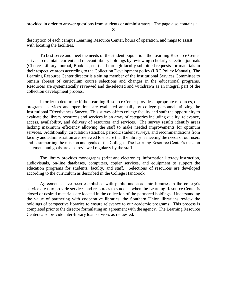provided in order to answer questions from students or administrators. The page also contains a

**-3-**

description of each campus Learning Resource Center, hours of operation, and maps to assist with locating the facilities.

To best serve and meet the needs of the student population, the Learning Resource Center strives to maintain current and relevant library holdings by reviewing scholarly selection journals (Choice, Library Journal, Booklist, etc.) and through faculty submitted requests for materials in their respective areas according to the Collection Development policy (LRC Policy Manual). The Learning Resource Center director is a sitting member of the Institutional Services Committee to remain abreast of curriculum course selections and changes in the educational programs. Resources are systematically reviewed and de-selected and withdrawn as an integral part of the collection development process.

In order to determine if the Learning Resource Center provides appropriate resources, our programs, services and operations are evaluated annually by college personnel utilizing the Institutional Effectiveness Survey. This survey offers college faculty and staff the opportunity to evaluate the library resources and services in an array of categories including quality, relevance, access, availability, and delivery of resources and services. The survey results identify areas lacking maximum efficiency allowing the staff to make needed improvements for optimum services. Additionally, circulation statistics, periodic student surveys, and recommendations from faculty and administration are reviewed to ensure that the library is meeting the needs of our users and is supporting the mission and goals of the College. The Learning Resource Center's mission statement and goals are also reviewed regularly by the staff.

The library provides monographs (print and electronic), information literacy instruction, audiovisuals, on-line databases, computers, copier services, and equipment to support the education programs for students, faculty, and staff. Selections of resources are developed according to the curriculum as described in the College Handbook.

Agreements have been established with public and academic libraries in the college's service areas to provide services and resources to students when the Learning Resource Center is closed or desired materials are located in the collection of the partnered holdings. Understanding the value of partnering with cooperative libraries, the Southern Union librarians review the holdings of perspective libraries to ensure relevance to our academic programs. This process is completed prior to the director formulating an agreement with the agency. The Learning Resource Centers also provide inter-library loan services as requested.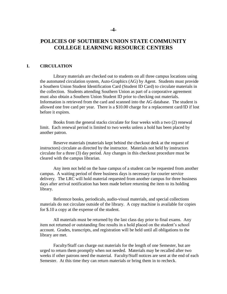## **POLICIES OF SOUTHERN UNION STATE COMMUNITY COLLEGE LEARNING RESOURCE CENTERS**

#### **I. CIRCULATION**

Library materials are checked out to students on all three campus locations using the automated circulation system, Auto-Graphics (AG) by Agent. Students must provide a Southern Union Student Identification Card (Student ID Card) to circulate materials in the collection. Students attending Southern Union as part of a corporative agreement must also obtain a Southern Union Student ID prior to checking out materials. Information is retrieved from the card and scanned into the AG database. The student is allowed one free card per year. There is a \$10.00 charge for a replacement card/ID if lost before it expires.

Books from the general stacks circulate for four weeks with a two (2) renewal limit. Each renewal period is limited to two weeks unless a hold has been placed by another patron.

Reserve materials (materials kept behind the checkout desk at the request of instructors) circulate as directed by the instructor. Materials not held by instructors circulate for a three (3) day period. Any changes in this checkout procedure must be cleared with the campus librarian.

Any item not held on the base campus of a student can be requested from another campus. A waiting period of three business days is necessary for courier service delivery. The LRC will hold material requested from another campus for three business days after arrival notification has been made before returning the item to its holding library.

Reference books, periodicals, audio-visual materials, and special collections materials do not circulate outside of the library. A copy machine is available for copies for \$.10 a copy at the expense of the student.

All materials must be returned by the last class day prior to final exams. Any item not returned or outstanding fine results in a hold placed on the student's school account. Grades, transcripts, and registration will be held until all obligations to the library are met.

Faculty/Staff can charge out materials for the length of one Semester, but are urged to return them promptly when not needed. Materials may be recalled after two weeks if other patrons need the material. Faculty/Staff notices are sent at the end of each Semester. At this time they can return materials or bring them in to recheck.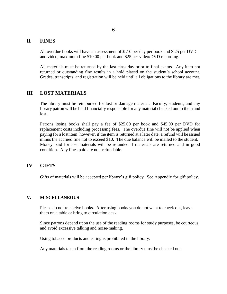#### **II FINES**

All overdue books will have an assessment of \$ .10 per day per book and \$.25 per DVD and video; maximum fine \$10.00 per book and \$25 per video/DVD recording.

All materials must be returned by the last class day prior to final exams. Any item not returned or outstanding fine results in a hold placed on the student's school account. Grades, transcripts, and registration will be held until all obligations to the library are met.

#### **III LOST MATERIALS**

The library must be reimbursed for lost or damage material. Faculty, students, and any library patron will be held financially responsible for any material checked out to them and lost.

Patrons losing books shall pay a fee of \$25.00 per book and \$45.00 per DVD for replacement costs including processing fees. The overdue fine will not be applied when paying for a lost item; however, if the item is returned at a later date, a refund will be issued minus the accrued fine not to exceed \$10. The due balance will be mailed to the student. Money paid for lost materials will be refunded if materials are returned and in good condition. Any fines paid are non-refundable.

#### **IV GIFTS**

Gifts of materials will be accepted per library's gift policy. See Appendix for gift policy**.**

#### **V. MISCELLANEOUS**

Please do not re-shelve books. After using books you do not want to check out, leave them on a table or bring to circulation desk.

Since patrons depend upon the use of the reading rooms for study purposes, be courteous and avoid excessive talking and noise-making.

Using tobacco products and eating is prohibited in the library.

Any materials taken from the reading rooms or the library must be checked out.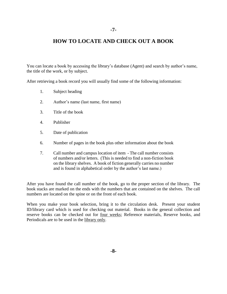## **HOW TO LOCATE AND CHECK OUT A BOOK**

You can locate a book by accessing the library's database (Agent) and search by author's name, the title of the work, or by subject.

After retrieving a book record you will usually find some of the following information:

- 1. Subject heading
- 2. Author's name (last name, first name)
- 3. Title of the book
- 4. Publisher
- 5. Date of publication
- 6. Number of pages in the book plus other information about the book
- 7. Call number and campus location of item The call number consists of numbers and/or letters. (This is needed to find a non-fiction book on the library shelves. A book of fiction generally carries no number and is found in alphabetical order by the author's last name.)

After you have found the call number of the book, go to the proper section of the library. The book stacks are marked on the ends with the numbers that are contained on the shelves. The call numbers are located on the spine or on the front of each book.

When you make your book selection, bring it to the circulation desk. Present your student ID/library card which is used for checking out material. Books in the general collection and reserve books can be checked out for four weeks; Reference materials, Reserve books, and Periodicals are to be used in the library only.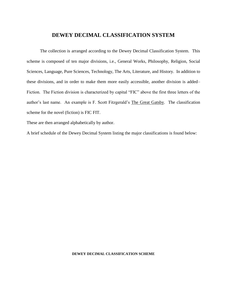### **DEWEY DECIMAL CLASSIFICATION SYSTEM**

The collection is arranged according to the Dewey Decimal Classification System. This scheme is composed of ten major divisions, i.e., General Works, Philosophy, Religion, Social Sciences, Language, Pure Sciences, Technology, The Arts, Literature, and History. In addition to these divisions, and in order to make them more easily accessible, another division is added– Fiction. The Fiction division is characterized by capital "FIC" above the first three letters of the author's last name. An example is F. Scott Fitzgerald's The Great Gatsby. The classification scheme for the novel (fiction) is FIC FIT.

These are then arranged alphabetically by author.

A brief schedule of the Dewey Decimal System listing the major classifications is found below:

#### **DEWEY DECIMAL CLASSIFICATION SCHEME**